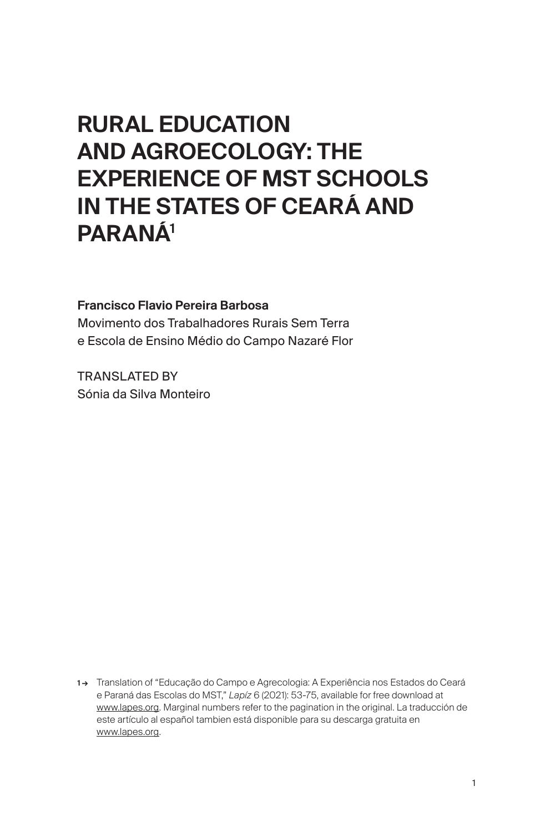# RURAL EDUCATION AND AGROECOLOGY: THE EXPERIENCE OF MST SCHOOLS IN THE STATES OF CEARÁ AND PARANÁ1

### Francisco Flavio Pereira Barbosa

Movimento dos Trabalhadores Rurais Sem Terra e Escola de Ensino Médio do Campo Nazaré Flor

TRANSLATED BY Sónia da Silva Monteiro

1 → Translation of "Educação do Campo e Agrecologia: A Experiência nos Estados do Ceará e Paraná das Escolas do MST," *Lapíz* 6 (2021): 53-75, available for free download at [www.lapes.org](http://www.lapes.org). Marginal numbers refer to the pagination in the original. La traducción de este artículo al español tambien está disponible para su descarga gratuita en [www.lapes.org](http://www.lapes.org).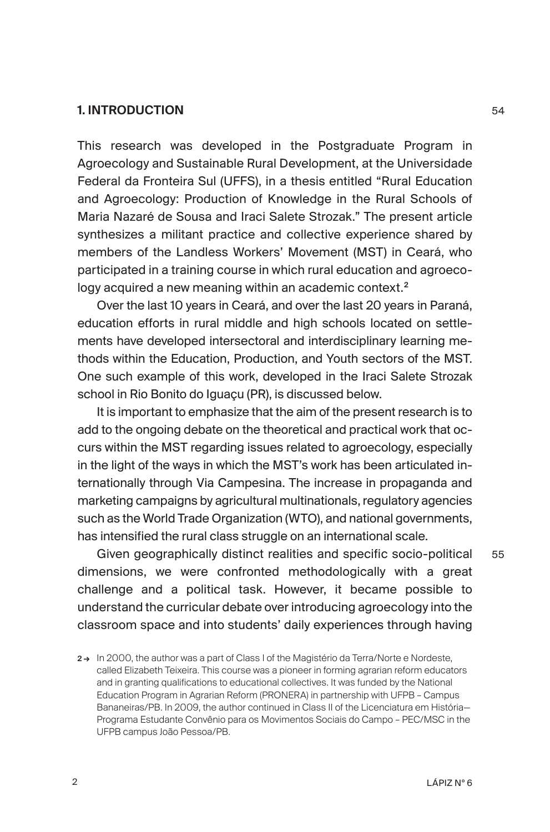## 1. INTRODUCTION

This research was developed in the Postgraduate Program in Agroecology and Sustainable Rural Development, at the Universidade Federal da Fronteira Sul (UFFS), in a thesis entitled "Rural Education and Agroecology: Production of Knowledge in the Rural Schools of Maria Nazaré de Sousa and Iraci Salete Strozak." The present article synthesizes a militant practice and collective experience shared by members of the Landless Workers' Movement (MST) in Ceará, who participated in a training course in which rural education and agroecology acquired a new meaning within an academic context.<sup>2</sup>

Over the last 10 years in Ceará, and over the last 20 years in Paraná, education efforts in rural middle and high schools located on settlements have developed intersectoral and interdisciplinary learning methods within the Education, Production, and Youth sectors of the MST. One such example of this work, developed in the Iraci Salete Strozak school in Rio Bonito do Iguaçu (PR), is discussed below.

It is important to emphasize that the aim of the present research is to add to the ongoing debate on the theoretical and practical work that occurs within the MST regarding issues related to agroecology, especially in the light of the ways in which the MST's work has been articulated internationally through Via Campesina. The increase in propaganda and marketing campaigns by agricultural multinationals, regulatory agencies such as the World Trade Organization (WTO), and national governments, has intensified the rural class struggle on an international scale.

Given geographically distinct realities and specific socio-political dimensions, we were confronted methodologically with a great challenge and a political task. However, it became possible to understand the curricular debate over introducing agroecology into the classroom space and into students' daily experiences through having

<sup>2→</sup> In 2000, the author was a part of Class I of the Magistério da Terra/Norte e Nordeste, called Elizabeth Teixeira. This course was a pioneer in forming agrarian reform educators and in granting qualifications to educational collectives. It was funded by the National Education Program in Agrarian Reform (PRONERA) in partnership with UFPB – Campus Bananeiras/PB. In 2009, the author continued in Class II of the Licenciatura em História-Programa Estudante Convênio para os Movimentos Sociais do Campo – PEC/MSC in the UFPB campus João Pessoa/PB.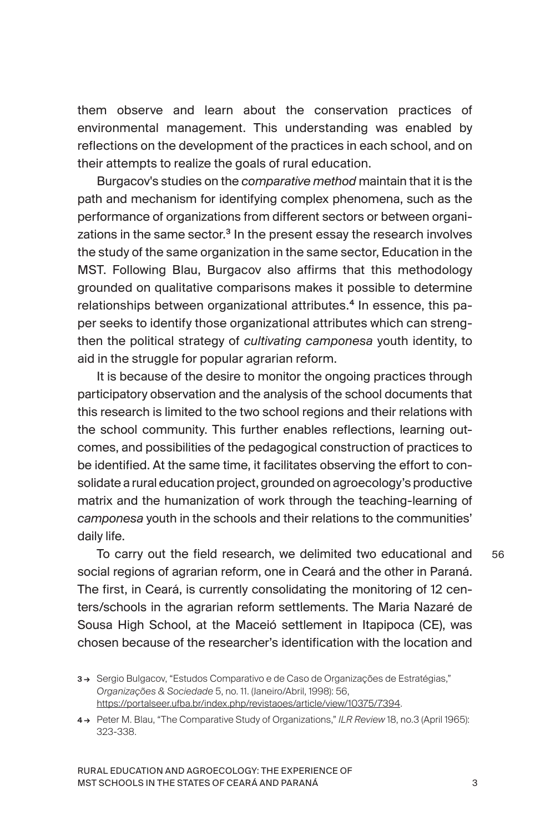them observe and learn about the conservation practices of environmental management. This understanding was enabled by reflections on the development of the practices in each school, and on their attempts to realize the goals of rural education.

Burgacov's studies on the *comparative method* maintain that it is the path and mechanism for identifying complex phenomena, such as the performance of organizations from different sectors or between organizations in the same sector.<sup>3</sup> In the present essay the research involves the study of the same organization in the same sector, Education in the MST. Following Blau, Burgacov also affirms that this methodology grounded on qualitative comparisons makes it possible to determine relationships between organizational attributes.<sup>4</sup> In essence, this paper seeks to identify those organizational attributes which can strengthen the political strategy of *cultivating camponesa* youth identity, to aid in the struggle for popular agrarian reform.

It is because of the desire to monitor the ongoing practices through participatory observation and the analysis of the school documents that this research is limited to the two school regions and their relations with the school community. This further enables reflections, learning outcomes, and possibilities of the pedagogical construction of practices to be identified. At the same time, it facilitates observing the effort to consolidate a rural education project, grounded on agroecology's productive matrix and the humanization of work through the teaching-learning of *camponesa* youth in the schools and their relations to the communities' daily life.

To carry out the field research, we delimited two educational and social regions of agrarian reform, one in Ceará and the other in Paraná. The first, in Ceará, is currently consolidating the monitoring of 12 centers/schools in the agrarian reform settlements. The Maria Nazaré de Sousa High School, at the Maceió settlement in Itapipoca (CE), was chosen because of the researcher's identification with the location and

56

<sup>3 →</sup> Sergio Bulgacov, "Estudos Comparativo e de Caso de Organizações de Estratégias," *Organizações & Sociedade* 5, no. 11. (Janeiro/Abril, 1998): 56, <https://portalseer.ufba.br/index.php/revistaoes/article/view/10375/7394>.

<sup>4 →</sup> Peter M. Blau, "The Comparative Study of Organizations," *ILR Review* 18, no.3 (April 1965): 323-338.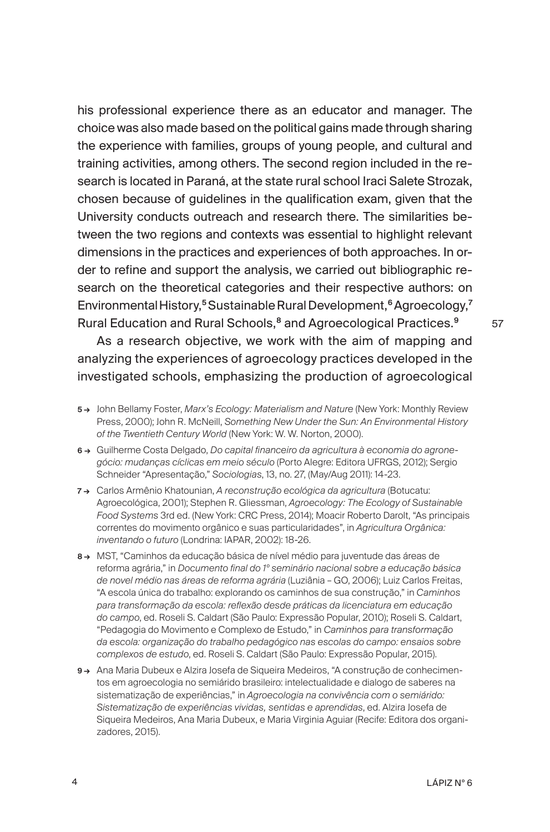his professional experience there as an educator and manager. The choice was also made based on the political gains made through sharing the experience with families, groups of young people, and cultural and training activities, among others. The second region included in the research is located in Paraná, at the state rural school Iraci Salete Strozak, chosen because of guidelines in the qualification exam, given that the University conducts outreach and research there. The similarities between the two regions and contexts was essential to highlight relevant dimensions in the practices and experiences of both approaches. In order to refine and support the analysis, we carried out bibliographic research on the theoretical categories and their respective authors: on Environmental History,<sup>5</sup> Sustainable Rural Development,<sup>6</sup> Agroecology,<sup>7</sup> Rural Education and Rural Schools,<sup>8</sup> and Agroecological Practices.<sup>9</sup>

As a research objective, we work with the aim of mapping and analyzing the experiences of agroecology practices developed in the investigated schools, emphasizing the production of agroecological

- 5 → John Bellamy Foster, *Marx's Ecology: Materialism and Nature* (New York: Monthly Review Press, 2000); John R. McNeill, *Something New Under the Sun: An Environmental History of the Twentieth Century World* (New York: W. W. Norton, 2000).
- 6 → Guilherme Costa Delgado, *Do capital financeiro da agricultura à economia do agronegócio: mudanças cíclicas em meio século* (Porto Alegre: Editora UFRGS, 2012); Sergio Schneider "Apresentação," *Sociologias*, 13, no. 27, (May/Aug 2011): 14-23.
- 7 → Carlos Armênio Khatounian, *A reconstrução ecológica da agricultura* (Botucatu: Agroecológica, 2001); Stephen R. Gliessman, *Agroecology: The Ecology of Sustainable Food Systems* 3rd ed. (New York: CRC Press, 2014); Moacir Roberto Darolt, "As principais correntes do movimento orgânico e suas particularidades", in *Agricultura Orgânica: inventando o futuro* (Londrina: IAPAR, 2002): 18-26.
- 8→ MST, "Caminhos da educação básica de nível médio para juventude das áreas de reforma agrária," in *Documento final do 1º seminário nacional sobre a educação básica de novel médio nas áreas de reforma agrária* (Luziânia – GO, 2006); Luiz Carlos Freitas, "A escola única do trabalho: explorando os caminhos de sua construção," in *Caminhos para transformação da escola: reflexão desde práticas da licenciatura em educação do campo*, ed. Roseli S. Caldart (São Paulo: Expressão Popular, 2010); Roseli S. Caldart, "Pedagogia do Movimento e Complexo de Estudo," in *Caminhos para transformação da escola: organização do trabalho pedagógico nas escolas do campo: ensaios sobre complexos de estudo*, ed. Roseli S. Caldart (São Paulo: Expressão Popular, 2015).
- 9 → Ana Maria Dubeux e Alzira Josefa de Sigueira Medeiros, "A construção de conhecimentos em agroecologia no semiárido brasileiro: intelectualidade e dialogo de saberes na sistematização de experiências," in *Agroecologia na convivência com o semiárido: Sistematização de experiências vividas, sentidas e aprendidas*, ed. Alzira Josefa de Siqueira Medeiros, Ana Maria Dubeux, e Maria Virginia Aguiar (Recife: Editora dos organizadores, 2015).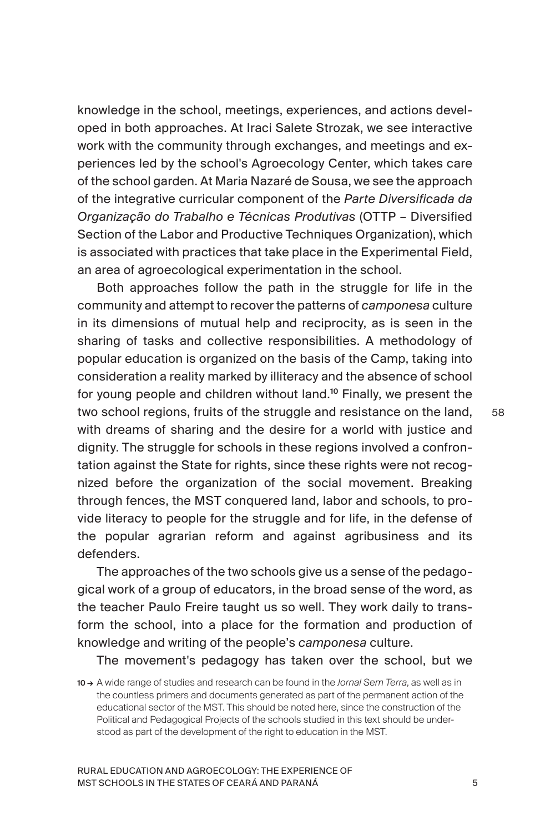knowledge in the school, meetings, experiences, and actions developed in both approaches. At Iraci Salete Strozak, we see interactive work with the community through exchanges, and meetings and experiences led by the school's Agroecology Center, which takes care of the school garden. At Maria Nazaré de Sousa, we see the approach of the integrative curricular component of the *Parte Diversificada da Organização do Trabalho e Técnicas Produtivas* (OTTP – Diversified Section of the Labor and Productive Techniques Organization), which is associated with practices that take place in the Experimental Field, an area of agroecological experimentation in the school.

Both approaches follow the path in the struggle for life in the community and attempt to recover the patterns of *camponesa* culture in its dimensions of mutual help and reciprocity, as is seen in the sharing of tasks and collective responsibilities. A methodology of popular education is organized on the basis of the Camp, taking into consideration a reality marked by illiteracy and the absence of school for young people and children without land.<sup>10</sup> Finally, we present the two school regions, fruits of the struggle and resistance on the land, with dreams of sharing and the desire for a world with justice and dignity. The struggle for schools in these regions involved a confrontation against the State for rights, since these rights were not recognized before the organization of the social movement. Breaking through fences, the MST conquered land, labor and schools, to provide literacy to people for the struggle and for life, in the defense of the popular agrarian reform and against agribusiness and its defenders.

The approaches of the two schools give us a sense of the pedagogical work of a group of educators, in the broad sense of the word, as the teacher Paulo Freire taught us so well. They work daily to transform the school, into a place for the formation and production of knowledge and writing of the people's *camponesa* culture.

The movement's pedagogy has taken over the school, but we

RURAL EDUCATION AND AGROECOLOGY: THE EXPERIENCE OF MST SCHOOLS IN THE STATES OF CEARÁ AND PARANÁ

<sup>10 →</sup> A wide range of studies and research can be found in the *Jornal Sem Terra*, as well as in the countless primers and documents generated as part of the permanent action of the educational sector of the MST. This should be noted here, since the construction of the Political and Pedagogical Projects of the schools studied in this text should be understood as part of the development of the right to education in the MST.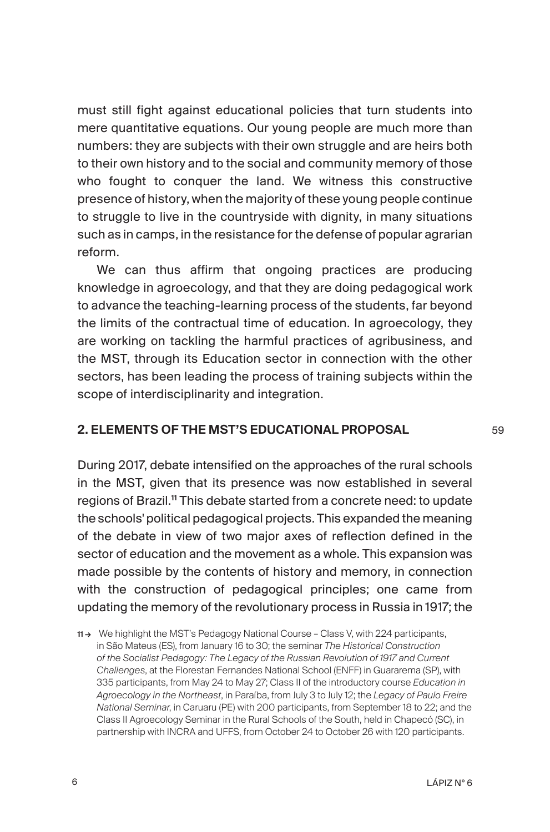must still fight against educational policies that turn students into mere quantitative equations. Our young people are much more than numbers: they are subjects with their own struggle and are heirs both to their own history and to the social and community memory of those who fought to conquer the land. We witness this constructive presence of history, when the majority of these young people continue to struggle to live in the countryside with dignity, in many situations such as in camps, in the resistance for the defense of popular agrarian reform.

We can thus affirm that ongoing practices are producing knowledge in agroecology, and that they are doing pedagogical work to advance the teaching-learning process of the students, far beyond the limits of the contractual time of education. In agroecology, they are working on tackling the harmful practices of agribusiness, and the MST, through its Education sector in connection with the other sectors, has been leading the process of training subjects within the scope of interdisciplinarity and integration.

## 2. ELEMENTS OF THE MST'S EDUCATIONAL PROPOSAL

During 2017, debate intensified on the approaches of the rural schools in the MST, given that its presence was now established in several regions of Brazil.<sup>11</sup> This debate started from a concrete need: to update the schools' political pedagogical projects. This expanded the meaning of the debate in view of two major axes of reflection defined in the sector of education and the movement as a whole. This expansion was made possible by the contents of history and memory, in connection with the construction of pedagogical principles; one came from updating the memory of the revolutionary process in Russia in 1917; the

6 LÁPIZ Nº 6

<sup>11 →</sup> We highlight the MST's Pedagogy National Course – Class V, with 224 participants, in São Mateus (ES), from January 16 to 30; the seminar *The Historical Construction of the Socialist Pedagogy: The Legacy of the Russian Revolution of 1917 and Current Challenges*, at the Florestan Fernandes National School (ENFF) in Guararema (SP), with 335 participants, from May 24 to May 27; Class II of the introductory course *Education in Agroecology in the Northeast*, in Paraíba, from July 3 to July 12; the *Legacy of Paulo Freire National Seminar*, in Caruaru (PE) with 200 participants, from September 18 to 22; and the Class II Agroecology Seminar in the Rural Schools of the South, held in Chapecó (SC), in partnership with INCRA and UFFS, from October 24 to October 26 with 120 participants.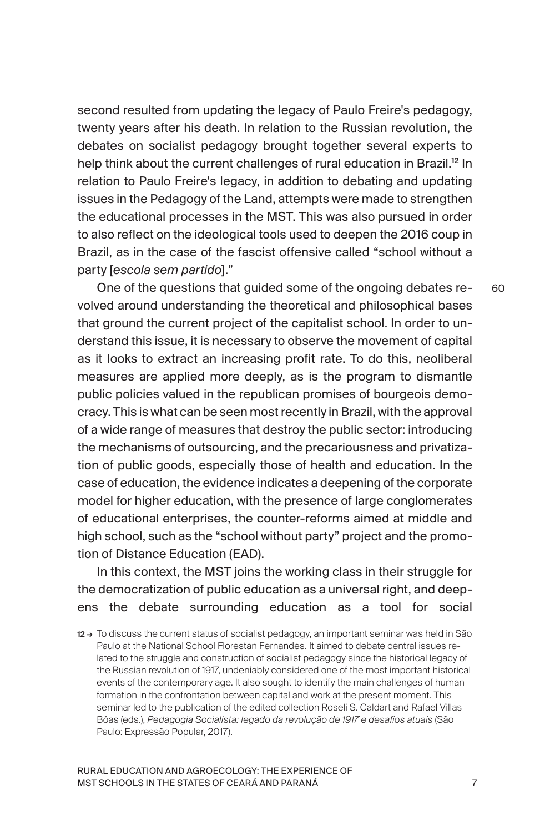second resulted from updating the legacy of Paulo Freire's pedagogy, twenty years after his death. In relation to the Russian revolution, the debates on socialist pedagogy brought together several experts to help think about the current challenges of rural education in Brazil.<sup>12</sup> In relation to Paulo Freire's legacy, in addition to debating and updating issues in the Pedagogy of the Land, attempts were made to strengthen the educational processes in the MST. This was also pursued in order to also reflect on the ideological tools used to deepen the 2016 coup in Brazil, as in the case of the fascist offensive called "school without a party [*escola sem partido*]."

One of the questions that guided some of the ongoing debates revolved around understanding the theoretical and philosophical bases that ground the current project of the capitalist school. In order to understand this issue, it is necessary to observe the movement of capital as it looks to extract an increasing profit rate. To do this, neoliberal measures are applied more deeply, as is the program to dismantle public policies valued in the republican promises of bourgeois democracy. This is what can be seen most recently in Brazil, with the approval of a wide range of measures that destroy the public sector: introducing the mechanisms of outsourcing, and the precariousness and privatization of public goods, especially those of health and education. In the case of education, the evidence indicates a deepening of the corporate model for higher education, with the presence of large conglomerates of educational enterprises, the counter-reforms aimed at middle and high school, such as the "school without party" project and the promotion of Distance Education (EAD).

In this context, the MST joins the working class in their struggle for the democratization of public education as a universal right, and deepens the debate surrounding education as a tool for social

12→ To discuss the current status of socialist pedagogy, an important seminar was held in São Paulo at the National School Florestan Fernandes. It aimed to debate central issues related to the struggle and construction of socialist pedagogy since the historical legacy of the Russian revolution of 1917, undeniably considered one of the most important historical events of the contemporary age. It also sought to identify the main challenges of human formation in the confrontation between capital and work at the present moment. This seminar led to the publication of the edited collection Roseli S. Caldart and Rafael Villas Bôas (eds.), *Pedagogia Socialista: legado da revolução de 1917 e desafios atuais* (São Paulo: Expressão Popular, 2017).

RURAL EDUCATION AND AGROECOLOGY: THE EXPERIENCE OF MST SCHOOLS IN THE STATES OF CEARÁ AND PARANÁ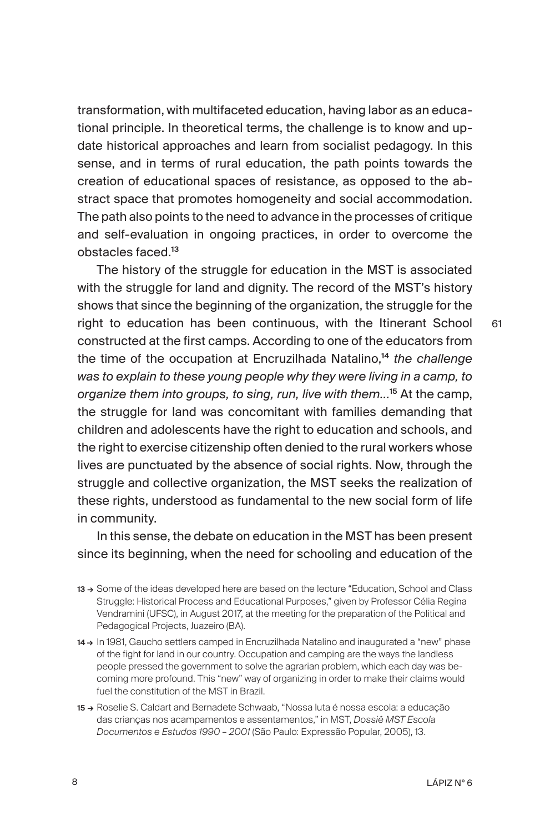transformation, with multifaceted education, having labor as an educational principle. In theoretical terms, the challenge is to know and update historical approaches and learn from socialist pedagogy. In this sense, and in terms of rural education, the path points towards the creation of educational spaces of resistance, as opposed to the abstract space that promotes homogeneity and social accommodation. The path also points to the need to advance in the processes of critique and self-evaluation in ongoing practices, in order to overcome the obstacles faced.<sup>13</sup>

The history of the struggle for education in the MST is associated with the struggle for land and dignity. The record of the MST's history shows that since the beginning of the organization, the struggle for the right to education has been continuous, with the Itinerant School constructed at the first camps. According to one of the educators from the time of the occupation at Encruzilhada Natalino,<sup>14</sup> *the challenge was to explain to these young people why they were living in a camp, to organize them into groups, to sing, run, live with them...*<sup>15</sup> At the camp, the struggle for land was concomitant with families demanding that children and adolescents have the right to education and schools, and the right to exercise citizenship often denied to the rural workers whose lives are punctuated by the absence of social rights. Now, through the struggle and collective organization, the MST seeks the realization of these rights, understood as fundamental to the new social form of life in community.

In this sense, the debate on education in the MST has been present since its beginning, when the need for schooling and education of the

- 13 → Some of the ideas developed here are based on the lecture "Education, School and Class Struggle: Historical Process and Educational Purposes," given by Professor Célia Regina Vendramini (UFSC), in August 2017, at the meeting for the preparation of the Political and Pedagogical Projects, Juazeiro (BA).
- 14→ In 1981, Gaucho settlers camped in Encruzilhada Natalino and inaugurated a "new" phase of the fight for land in our country. Occupation and camping are the ways the landless people pressed the government to solve the agrarian problem, which each day was becoming more profound. This "new" way of organizing in order to make their claims would fuel the constitution of the MST in Brazil.
- 15 → Roselie S. Caldart and Bernadete Schwaab, "Nossa luta é nossa escola: a educação das crianças nos acampamentos e assentamentos," in MST, *Dossiê MST Escola Documentos e Estudos 1990 – 2001* (São Paulo: Expressão Popular, 2005), 13.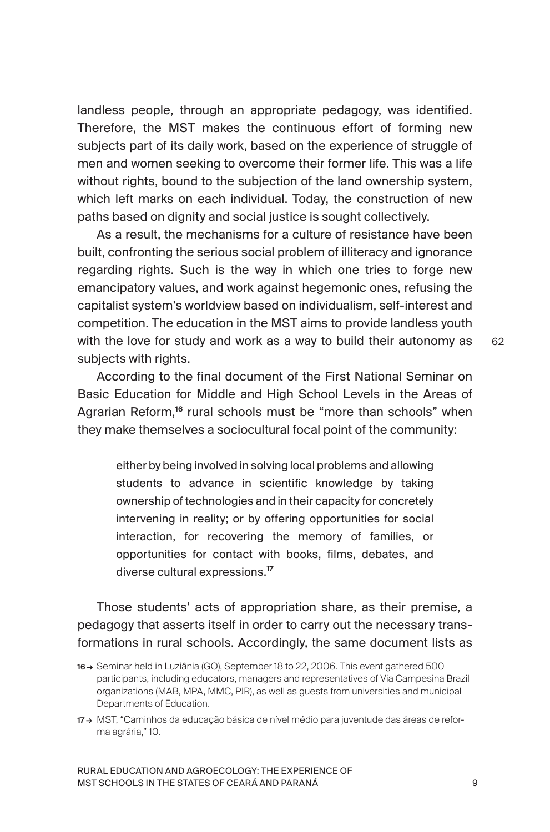landless people, through an appropriate pedagogy, was identified. Therefore, the MST makes the continuous effort of forming new subjects part of its daily work, based on the experience of struggle of men and women seeking to overcome their former life. This was a life without rights, bound to the subjection of the land ownership system, which left marks on each individual. Today, the construction of new paths based on dignity and social justice is sought collectively.

As a result, the mechanisms for a culture of resistance have been built, confronting the serious social problem of illiteracy and ignorance regarding rights. Such is the way in which one tries to forge new emancipatory values, and work against hegemonic ones, refusing the capitalist system's worldview based on individualism, self-interest and competition. The education in the MST aims to provide landless youth with the love for study and work as a way to build their autonomy as subjects with rights.

62

According to the final document of the First National Seminar on Basic Education for Middle and High School Levels in the Areas of Agrarian Reform,<sup>16</sup> rural schools must be "more than schools" when they make themselves a sociocultural focal point of the community:

either by being involved in solving local problems and allowing students to advance in scientific knowledge by taking ownership of technologies and in their capacity for concretely intervening in reality; or by offering opportunities for social interaction, for recovering the memory of families, or opportunities for contact with books, films, debates, and diverse cultural expressions.<sup>17</sup>

Those students' acts of appropriation share, as their premise, a pedagogy that asserts itself in order to carry out the necessary transformations in rural schools. Accordingly, the same document lists as

<sup>16 →</sup> Seminar held in Luziânia (GO), September 18 to 22, 2006. This event gathered 500 participants, including educators, managers and representatives of Via Campesina Brazil organizations (MAB, MPA, MMC, PJR), as well as guests from universities and municipal Departments of Education.

<sup>17→</sup> MST, "Caminhos da educação básica de nível médio para juventude das áreas de reforma agrária," 10.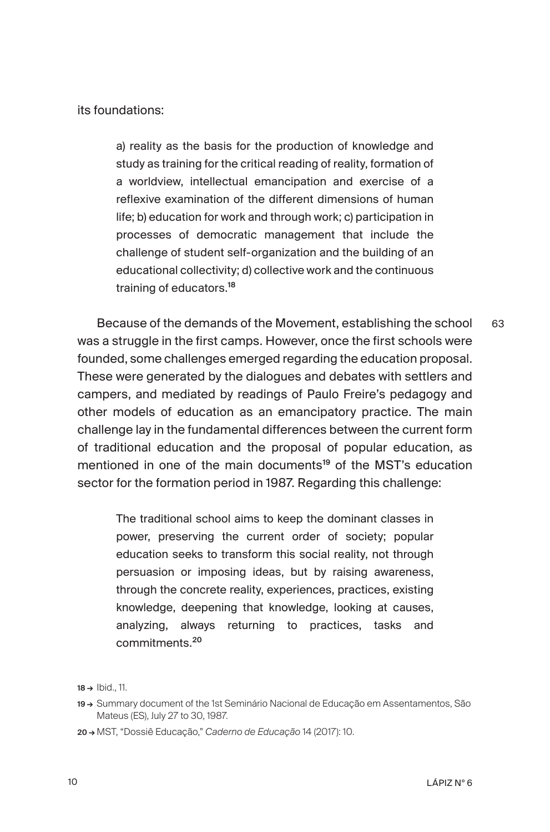its foundations:

a) reality as the basis for the production of knowledge and study as training for the critical reading of reality, formation of a worldview, intellectual emancipation and exercise of a reflexive examination of the different dimensions of human life; b) education for work and through work; c) participation in processes of democratic management that include the challenge of student self-organization and the building of an educational collectivity; d) collective work and the continuous training of educators.<sup>18</sup>

Because of the demands of the Movement, establishing the school was a struggle in the first camps. However, once the first schools were founded, some challenges emerged regarding the education proposal. These were generated by the dialogues and debates with settlers and campers, and mediated by readings of Paulo Freire's pedagogy and other models of education as an emancipatory practice. The main challenge lay in the fundamental differences between the current form of traditional education and the proposal of popular education, as mentioned in one of the main documents<sup>19</sup> of the MST's education sector for the formation period in 1987. Regarding this challenge: 63

The traditional school aims to keep the dominant classes in power, preserving the current order of society; popular education seeks to transform this social reality, not through persuasion or imposing ideas, but by raising awareness, through the concrete reality, experiences, practices, existing knowledge, deepening that knowledge, looking at causes, analyzing, always returning to practices, tasks and commitments.<sup>20</sup>

18 → Ibid., 11.

<sup>19 →</sup> Summary document of the 1st Seminário Nacional de Educação em Assentamentos, São Mateus (ES), July 27 to 30, 1987.

<sup>20 →</sup> MST, "Dossiê Educação," *Caderno de Educação* 14 (2017): 10.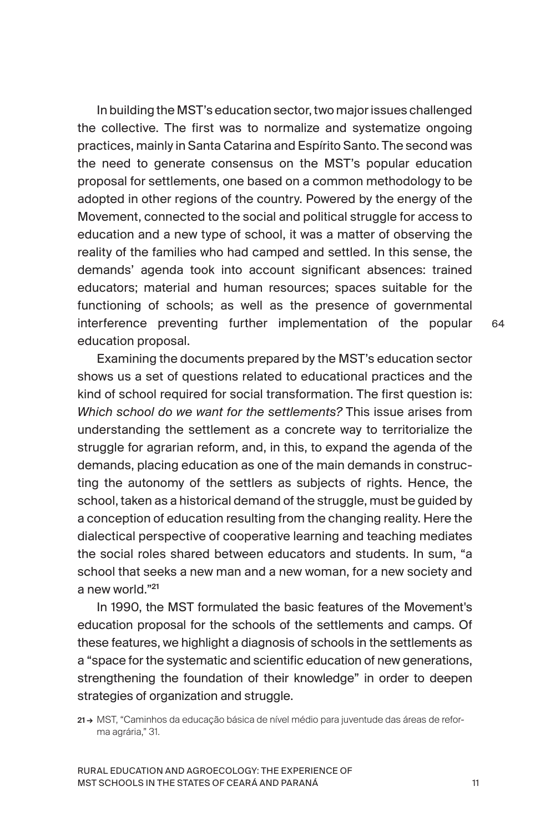In building the MST's education sector, two major issues challenged the collective. The first was to normalize and systematize ongoing practices, mainly in Santa Catarina and Espírito Santo. The second was the need to generate consensus on the MST's popular education proposal for settlements, one based on a common methodology to be adopted in other regions of the country. Powered by the energy of the Movement, connected to the social and political struggle for access to education and a new type of school, it was a matter of observing the reality of the families who had camped and settled. In this sense, the demands' agenda took into account significant absences: trained educators; material and human resources; spaces suitable for the functioning of schools; as well as the presence of governmental interference preventing further implementation of the popular education proposal.

Examining the documents prepared by the MST's education sector shows us a set of questions related to educational practices and the kind of school required for social transformation. The first question is: *Which school do we want for the settlements?* This issue arises from understanding the settlement as a concrete way to territorialize the struggle for agrarian reform, and, in this, to expand the agenda of the demands, placing education as one of the main demands in constructing the autonomy of the settlers as subjects of rights. Hence, the school, taken as a historical demand of the struggle, must be guided by a conception of education resulting from the changing reality. Here the dialectical perspective of cooperative learning and teaching mediates the social roles shared between educators and students. In sum, "a school that seeks a new man and a new woman, for a new society and a new world."<sup>21</sup>

In 1990, the MST formulated the basic features of the Movement's education proposal for the schools of the settlements and camps. Of these features, we highlight a diagnosis of schools in the settlements as a "space for the systematic and scientific education of new generations, strengthening the foundation of their knowledge" in order to deepen strategies of organization and struggle.

21→ MST, "Caminhos da educação básica de nível médio para juventude das áreas de reforma agrária," 31.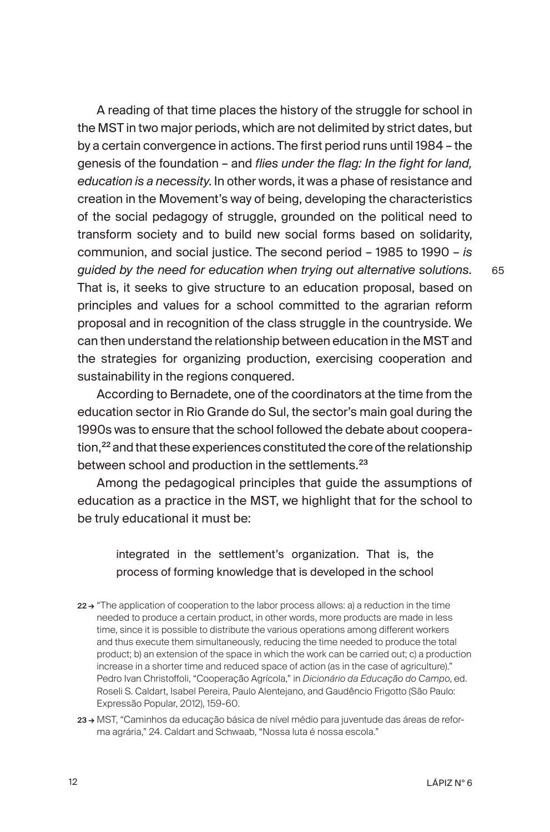A reading of that time places the history of the struggle for school in the MST in two major periods, which are not delimited by strict dates, but by a certain convergence in actions. The first period runs until 1984 – the genesis of the foundation – and *flies under the flag: In the fight for land, education is a necessity*. In other words, it was a phase of resistance and creation in the Movement's way of being, developing the characteristics of the social pedagogy of struggle, grounded on the political need to transform society and to build new social forms based on solidarity, communion, and social justice. The second period – 1985 to 1990 – *is guided by the need for education when trying out alternative solutions.*  That is, it seeks to give structure to an education proposal, based on principles and values for a school committed to the agrarian reform proposal and in recognition of the class struggle in the countryside. We can then understand the relationship between education in the MST and the strategies for organizing production, exercising cooperation and sustainability in the regions conquered.

According to Bernadete, one of the coordinators at the time from the education sector in Rio Grande do Sul, the sector's main goal during the 1990s was to ensure that the school followed the debate about cooperation,<sup>22</sup> and that these experiences constituted the core of the relationship between school and production in the settlements.<sup>23</sup>

Among the pedagogical principles that guide the assumptions of education as a practice in the MST, we highlight that for the school to be truly educational it must be:

# integrated in the settlement's organization. That is, the process of forming knowledge that is developed in the school

- 22→ "The application of cooperation to the labor process allows: a) a reduction in the time needed to produce a certain product, in other words, more products are made in less time, since it is possible to distribute the various operations among different workers and thus execute them simultaneously, reducing the time needed to produce the total product; b) an extension of the space in which the work can be carried out; c) a production increase in a shorter time and reduced space of action (as in the case of agriculture)." Pedro Ivan Christoffoli, "Cooperação Agrícola," in *Dicionário da Educação do Campo*, ed. Roseli S. Caldart, Isabel Pereira, Paulo Alentejano, and Gaudêncio Frigotto (São Paulo: Expressão Popular, 2012), 159-60.
- 23 → MST, "Caminhos da educação básica de nível médio para juventude das áreas de reforma agrária," 24. Caldart and Schwaab, "Nossa luta é nossa escola."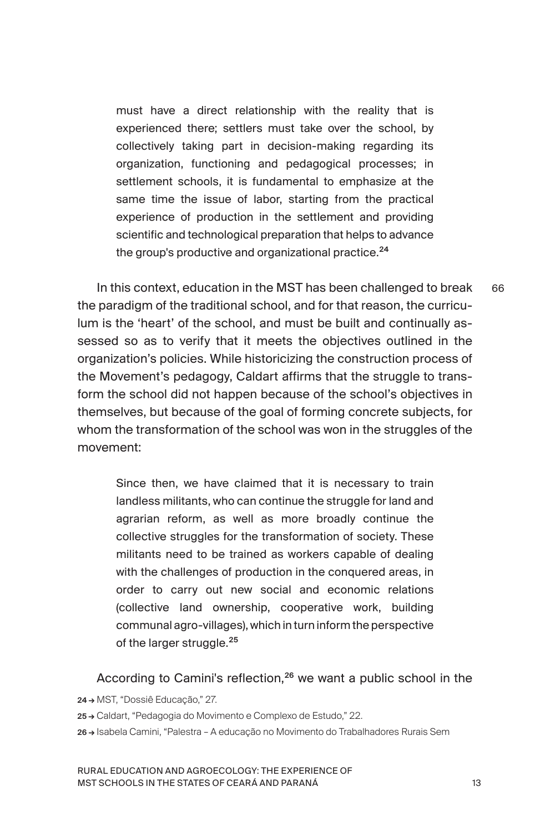must have a direct relationship with the reality that is experienced there; settlers must take over the school, by collectively taking part in decision-making regarding its organization, functioning and pedagogical processes; in settlement schools, it is fundamental to emphasize at the same time the issue of labor, starting from the practical experience of production in the settlement and providing scientific and technological preparation that helps to advance the group's productive and organizational practice.<sup>24</sup>

In this context, education in the MST has been challenged to break the paradigm of the traditional school, and for that reason, the curriculum is the 'heart' of the school, and must be built and continually assessed so as to verify that it meets the objectives outlined in the organization's policies. While historicizing the construction process of the Movement's pedagogy, Caldart affirms that the struggle to transform the school did not happen because of the school's objectives in themselves, but because of the goal of forming concrete subjects, for whom the transformation of the school was won in the struggles of the movement:

Since then, we have claimed that it is necessary to train landless militants, who can continue the struggle for land and agrarian reform, as well as more broadly continue the collective struggles for the transformation of society. These militants need to be trained as workers capable of dealing with the challenges of production in the conquered areas, in order to carry out new social and economic relations (collective land ownership, cooperative work, building communal agro-villages), which in turn inform the perspective of the larger struggle.<sup>25</sup>

According to Camini's reflection,<sup>26</sup> we want a public school in the

24 → MST, "Dossiê Educação," 27.

25 → Caldart, "Pedagogia do Movimento e Complexo de Estudo," 22.

26 → Isabela Camini, "Palestra – A educação no Movimento do Trabalhadores Rurais Sem

RURAL EDUCATION AND AGROECOLOGY: THE EXPERIENCE OF MST SCHOOLS IN THE STATES OF CEARÁ AND PARANÁ

66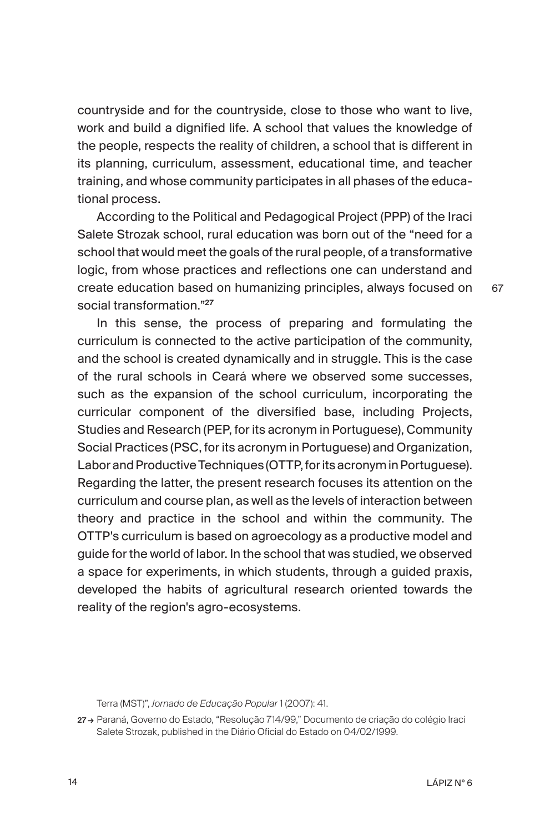countryside and for the countryside, close to those who want to live, work and build a dignified life. A school that values the knowledge of the people, respects the reality of children, a school that is different in its planning, curriculum, assessment, educational time, and teacher training, and whose community participates in all phases of the educational process.

According to the Political and Pedagogical Project (PPP) of the Iraci Salete Strozak school, rural education was born out of the "need for a school that would meet the goals of the rural people, of a transformative logic, from whose practices and reflections one can understand and create education based on humanizing principles, always focused on social transformation."<sup>27</sup>

In this sense, the process of preparing and formulating the curriculum is connected to the active participation of the community, and the school is created dynamically and in struggle. This is the case of the rural schools in Ceará where we observed some successes, such as the expansion of the school curriculum, incorporating the curricular component of the diversified base, including Projects, Studies and Research (PEP, for its acronym in Portuguese), Community Social Practices (PSC, for its acronym in Portuguese) and Organization, Labor and Productive Techniques (OTTP, for its acronym in Portuguese). Regarding the latter, the present research focuses its attention on the curriculum and course plan, as well as the levels of interaction between theory and practice in the school and within the community. The OTTP's curriculum is based on agroecology as a productive model and guide for the world of labor. In the school that was studied, we observed a space for experiments, in which students, through a guided praxis, developed the habits of agricultural research oriented towards the reality of the region's agro-ecosystems.

Terra (MST)", *Jornado de Educação Popular* 1 (2007): 41.

27→ Paraná, Governo do Estado, "Resolução 714/99," Documento de criação do colégio Iraci Salete Strozak, published in the Diário Oficial do Estado on 04/02/1999.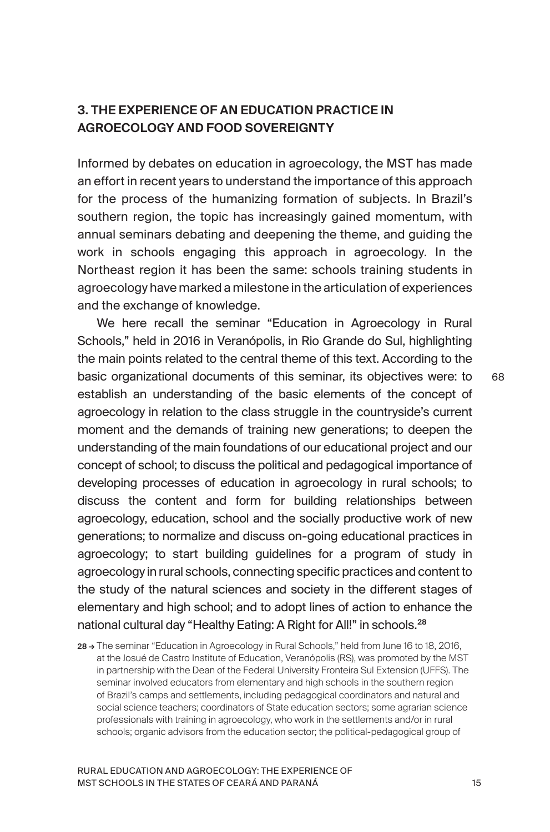## 3. THE EXPERIENCE OF AN EDUCATION PRACTICE IN AGROECOLOGY AND FOOD SOVEREIGNTY

Informed by debates on education in agroecology, the MST has made an effort in recent years to understand the importance of this approach for the process of the humanizing formation of subjects. In Brazil's southern region, the topic has increasingly gained momentum, with annual seminars debating and deepening the theme, and guiding the work in schools engaging this approach in agroecology. In the Northeast region it has been the same: schools training students in agroecology have marked a milestone in the articulation of experiences and the exchange of knowledge.

We here recall the seminar "Education in Agroecology in Rural Schools," held in 2016 in Veranópolis, in Rio Grande do Sul, highlighting the main points related to the central theme of this text. According to the basic organizational documents of this seminar, its objectives were: to establish an understanding of the basic elements of the concept of agroecology in relation to the class struggle in the countryside's current moment and the demands of training new generations; to deepen the understanding of the main foundations of our educational project and our concept of school; to discuss the political and pedagogical importance of developing processes of education in agroecology in rural schools; to discuss the content and form for building relationships between agroecology, education, school and the socially productive work of new generations; to normalize and discuss on-going educational practices in agroecology; to start building guidelines for a program of study in agroecology in rural schools, connecting specific practices and content to the study of the natural sciences and society in the different stages of elementary and high school; and to adopt lines of action to enhance the national cultural day "Healthy Eating: A Right for All!" in schools.<sup>28</sup>

28→ The seminar "Education in Agroecology in Rural Schools," held from June 16 to 18, 2016. at the Josué de Castro Institute of Education, Veranópolis (RS), was promoted by the MST in partnership with the Dean of the Federal University Fronteira Sul Extension (UFFS). The seminar involved educators from elementary and high schools in the southern region of Brazil's camps and settlements, including pedagogical coordinators and natural and social science teachers; coordinators of State education sectors; some agrarian science professionals with training in agroecology, who work in the settlements and/or in rural schools; organic advisors from the education sector; the political-pedagogical group of

RURAL EDUCATION AND AGROECOLOGY: THE EXPERIENCE OF MST SCHOOLS IN THE STATES OF CEARÁ AND PARANÁ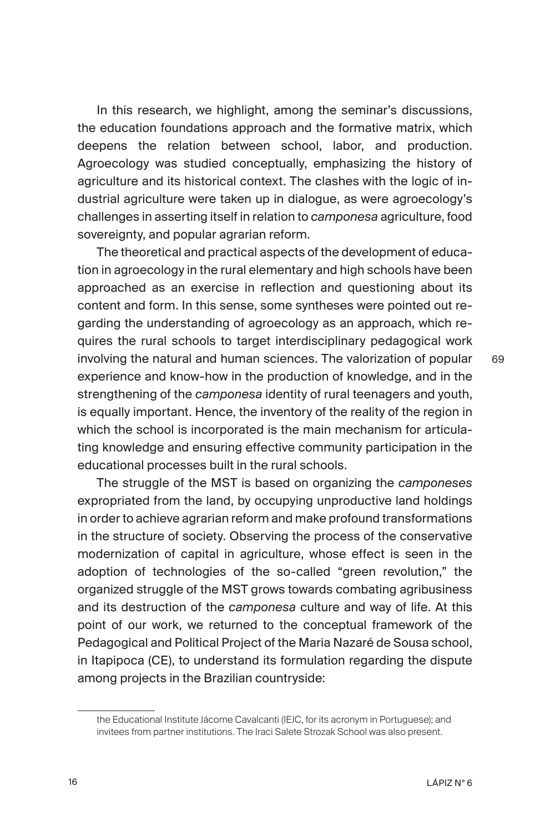In this research, we highlight, among the seminar's discussions, the education foundations approach and the formative matrix, which deepens the relation between school, labor, and production. Agroecology was studied conceptually, emphasizing the history of agriculture and its historical context. The clashes with the logic of industrial agriculture were taken up in dialogue, as were agroecology's challenges in asserting itself in relation to *camponesa* agriculture, food sovereignty, and popular agrarian reform.

The theoretical and practical aspects of the development of education in agroecology in the rural elementary and high schools have been approached as an exercise in reflection and questioning about its content and form. In this sense, some syntheses were pointed out regarding the understanding of agroecology as an approach, which requires the rural schools to target interdisciplinary pedagogical work involving the natural and human sciences. The valorization of popular experience and know-how in the production of knowledge, and in the strengthening of the *camponesa* identity of rural teenagers and youth, is equally important. Hence, the inventory of the reality of the region in which the school is incorporated is the main mechanism for articulating knowledge and ensuring effective community participation in the educational processes built in the rural schools.

The struggle of the MST is based on organizing the *camponeses* expropriated from the land, by occupying unproductive land holdings in order to achieve agrarian reform and make profound transformations in the structure of society. Observing the process of the conservative modernization of capital in agriculture, whose effect is seen in the adoption of technologies of the so-called "green revolution," the organized struggle of the MST grows towards combating agribusiness and its destruction of the *camponesa* culture and way of life. At this point of our work, we returned to the conceptual framework of the Pedagogical and Political Project of the Maria Nazaré de Sousa school, in Itapipoca (CE), to understand its formulation regarding the dispute among projects in the Brazilian countryside:

the Educational Institute Jácome Cavalcanti (IEJC, for its acronym in Portuguese); and invitees from partner institutions. The Iraci Salete Strozak School was also present.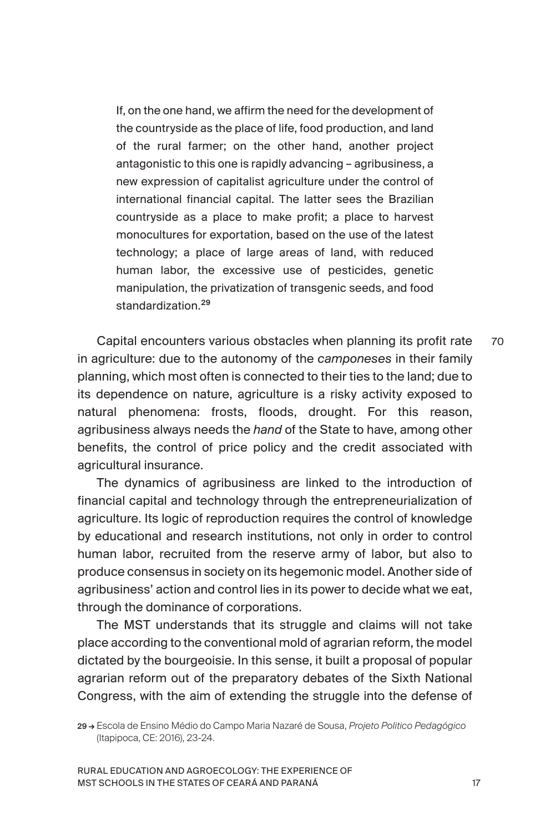If, on the one hand, we affirm the need for the development of the countryside as the place of life, food production, and land of the rural farmer; on the other hand, another project antagonistic to this one is rapidly advancing – agribusiness, a new expression of capitalist agriculture under the control of international financial capital. The latter sees the Brazilian countryside as a place to make profit; a place to harvest monocultures for exportation, based on the use of the latest technology; a place of large areas of land, with reduced human labor, the excessive use of pesticides, genetic manipulation, the privatization of transgenic seeds, and food standardization.<sup>29</sup>

Capital encounters various obstacles when planning its profit rate in agriculture: due to the autonomy of the *camponeses* in their family planning, which most often is connected to their ties to the land; due to its dependence on nature, agriculture is a risky activity exposed to natural phenomena: frosts, floods, drought. For this reason, agribusiness always needs the *hand* of the State to have, among other benefits, the control of price policy and the credit associated with agricultural insurance. 70

The dynamics of agribusiness are linked to the introduction of financial capital and technology through the entrepreneurialization of agriculture. Its logic of reproduction requires the control of knowledge by educational and research institutions, not only in order to control human labor, recruited from the reserve army of labor, but also to produce consensus in society on its hegemonic model. Another side of agribusiness' action and control lies in its power to decide what we eat, through the dominance of corporations.

The MST understands that its struggle and claims will not take place according to the conventional mold of agrarian reform, the model dictated by the bourgeoisie. In this sense, it built a proposal of popular agrarian reform out of the preparatory debates of the Sixth National Congress, with the aim of extending the struggle into the defense of

<sup>29 →</sup> Escola de Ensino Médio do Campo Maria Nazaré de Sousa, *Projeto Politico Pedagógico* (Itapipoca, CE: 2016), 23-24.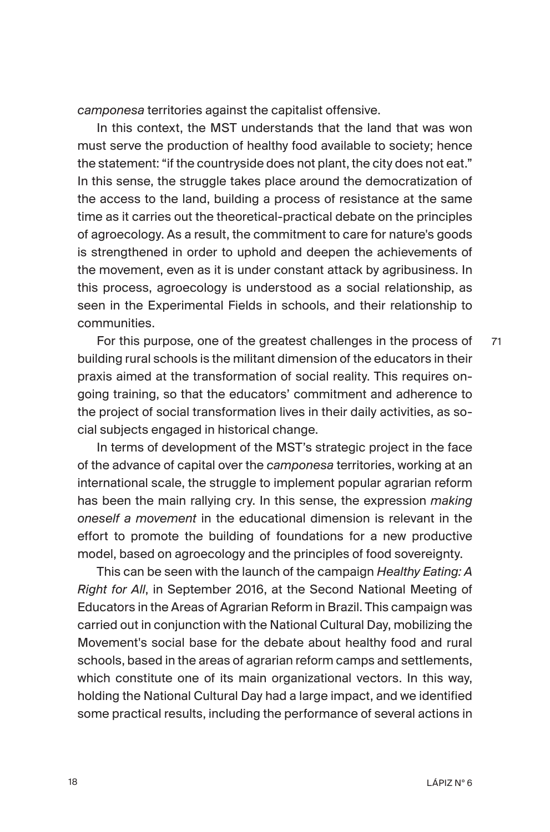*camponesa* territories against the capitalist offensive.

In this context, the MST understands that the land that was won must serve the production of healthy food available to society; hence the statement: "if the countryside does not plant, the city does not eat." In this sense, the struggle takes place around the democratization of the access to the land, building a process of resistance at the same time as it carries out the theoretical-practical debate on the principles of agroecology. As a result, the commitment to care for nature's goods is strengthened in order to uphold and deepen the achievements of the movement, even as it is under constant attack by agribusiness. In this process, agroecology is understood as a social relationship, as seen in the Experimental Fields in schools, and their relationship to communities.

For this purpose, one of the greatest challenges in the process of building rural schools is the militant dimension of the educators in their praxis aimed at the transformation of social reality. This requires ongoing training, so that the educators' commitment and adherence to the project of social transformation lives in their daily activities, as social subjects engaged in historical change. 71

In terms of development of the MST's strategic project in the face of the advance of capital over the *camponesa* territories, working at an international scale, the struggle to implement popular agrarian reform has been the main rallying cry. In this sense, the expression *making oneself a movement* in the educational dimension is relevant in the effort to promote the building of foundations for a new productive model, based on agroecology and the principles of food sovereignty.

This can be seen with the launch of the campaign *Healthy Eating: A Right for All*, in September 2016, at the Second National Meeting of Educators in the Areas of Agrarian Reform in Brazil. This campaign was carried out in conjunction with the National Cultural Day, mobilizing the Movement's social base for the debate about healthy food and rural schools, based in the areas of agrarian reform camps and settlements, which constitute one of its main organizational vectors. In this way, holding the National Cultural Day had a large impact, and we identified some practical results, including the performance of several actions in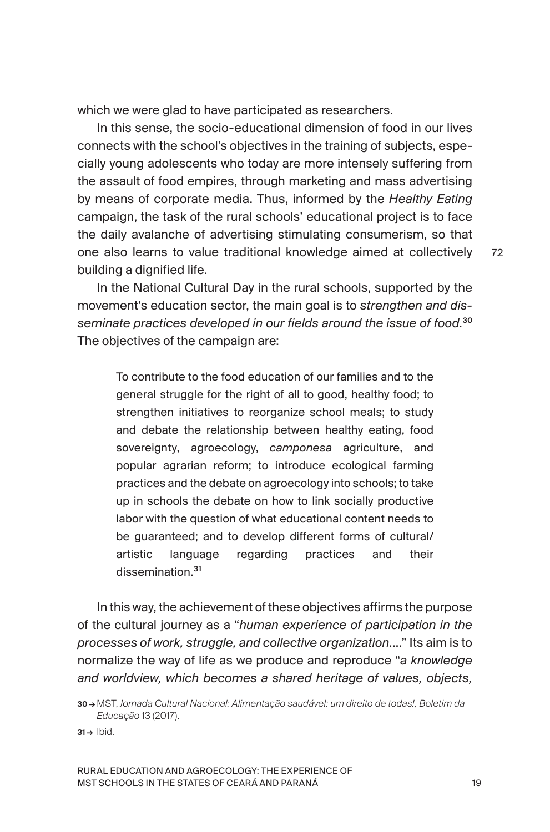which we were glad to have participated as researchers.

In this sense, the socio-educational dimension of food in our lives connects with the school's objectives in the training of subjects, especially young adolescents who today are more intensely suffering from the assault of food empires, through marketing and mass advertising by means of corporate media. Thus, informed by the *Healthy Eating* campaign, the task of the rural schools' educational project is to face the daily avalanche of advertising stimulating consumerism, so that one also learns to value traditional knowledge aimed at collectively building a dignified life.

In the National Cultural Day in the rural schools, supported by the movement's education sector, the main goal is to *strengthen and disseminate practices developed in our fields around the issue of food*. 30 The objectives of the campaign are:

To contribute to the food education of our families and to the general struggle for the right of all to good, healthy food; to strengthen initiatives to reorganize school meals; to study and debate the relationship between healthy eating, food sovereignty, agroecology, *camponesa* agriculture, and popular agrarian reform; to introduce ecological farming practices and the debate on agroecology into schools; to take up in schools the debate on how to link socially productive labor with the question of what educational content needs to be guaranteed; and to develop different forms of cultural/ artistic language regarding practices and their dissemination.<sup>31</sup>

In this way, the achievement of these objectives affirms the purpose of the cultural journey as a "*human experience of participation in the processes of work, struggle, and collective organization*...." Its aim is to normalize the way of life as we produce and reproduce "*a knowledge and worldview, which becomes a shared heritage of values, objects,* 

 $31 \rightarrow$  Ibid.

<sup>30 →</sup> MST, *Jornada Cultural Nacional: Alimentação saudável: um direito de todas!, Boletim da Educação* 13 (2017).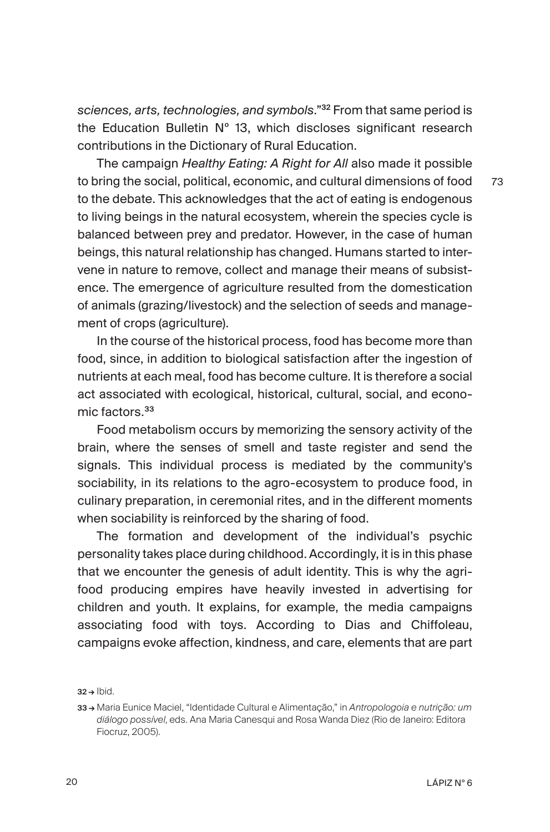*sciences, arts, technologies, and symbols*."<sup>32</sup> From that same period is the Education Bulletin Nº 13, which discloses significant research contributions in the Dictionary of Rural Education.

The campaign *Healthy Eating: A Right for All* also made it possible to bring the social, political, economic, and cultural dimensions of food to the debate. This acknowledges that the act of eating is endogenous to living beings in the natural ecosystem, wherein the species cycle is balanced between prey and predator. However, in the case of human beings, this natural relationship has changed. Humans started to intervene in nature to remove, collect and manage their means of subsistence. The emergence of agriculture resulted from the domestication of animals (grazing/livestock) and the selection of seeds and management of crops (agriculture).

In the course of the historical process, food has become more than food, since, in addition to biological satisfaction after the ingestion of nutrients at each meal, food has become culture. It is therefore a social act associated with ecological, historical, cultural, social, and economic factors.<sup>33</sup>

Food metabolism occurs by memorizing the sensory activity of the brain, where the senses of smell and taste register and send the signals. This individual process is mediated by the community's sociability, in its relations to the agro-ecosystem to produce food, in culinary preparation, in ceremonial rites, and in the different moments when sociability is reinforced by the sharing of food.

The formation and development of the individual's psychic personality takes place during childhood. Accordingly, it is in this phase that we encounter the genesis of adult identity. This is why the agrifood producing empires have heavily invested in advertising for children and youth. It explains, for example, the media campaigns associating food with toys. According to Dias and Chiffoleau, campaigns evoke affection, kindness, and care, elements that are part

 $32 \rightarrow$  Ibid.

<sup>33 →</sup> Maria Eunice Maciel, "Identidade Cultural e Alimentação," in *Antropologoia e nutrição: um diálogo possível*, eds. Ana Maria Canesqui and Rosa Wanda Diez (Rio de Janeiro: Editora Fiocruz, 2005).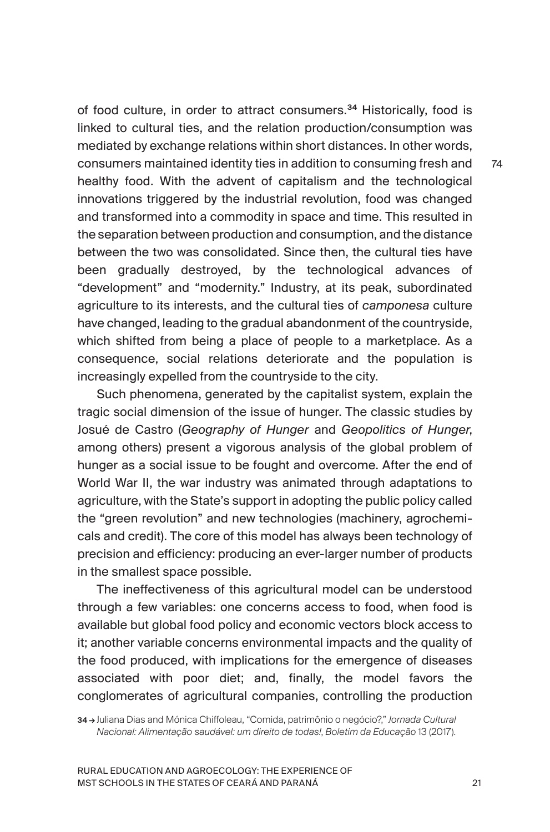of food culture, in order to attract consumers.<sup>34</sup> Historically, food is linked to cultural ties, and the relation production/consumption was mediated by exchange relations within short distances. In other words, consumers maintained identity ties in addition to consuming fresh and healthy food. With the advent of capitalism and the technological innovations triggered by the industrial revolution, food was changed and transformed into a commodity in space and time. This resulted in the separation between production and consumption, and the distance between the two was consolidated. Since then, the cultural ties have been gradually destroyed, by the technological advances of "development" and "modernity." Industry, at its peak, subordinated agriculture to its interests, and the cultural ties of *camponesa* culture have changed, leading to the gradual abandonment of the countryside, which shifted from being a place of people to a marketplace. As a consequence, social relations deteriorate and the population is increasingly expelled from the countryside to the city.

Such phenomena, generated by the capitalist system, explain the tragic social dimension of the issue of hunger. The classic studies by Josué de Castro (*Geography of Hunger* and *Geopolitics of Hunger*, among others) present a vigorous analysis of the global problem of hunger as a social issue to be fought and overcome. After the end of World War II, the war industry was animated through adaptations to agriculture, with the State's support in adopting the public policy called the "green revolution" and new technologies (machinery, agrochemicals and credit). The core of this model has always been technology of precision and efficiency: producing an ever-larger number of products in the smallest space possible.

The ineffectiveness of this agricultural model can be understood through a few variables: one concerns access to food, when food is available but global food policy and economic vectors block access to it; another variable concerns environmental impacts and the quality of the food produced, with implications for the emergence of diseases associated with poor diet; and, finally, the model favors the conglomerates of agricultural companies, controlling the production

34 → Juliana Dias and Mónica Chiffoleau, "Comida, patrimônio o negócio?," *Jornada Cultural Nacional: Alimentação saudável: um direito de todas!*, *Boletim da Educação* 13 (2017).